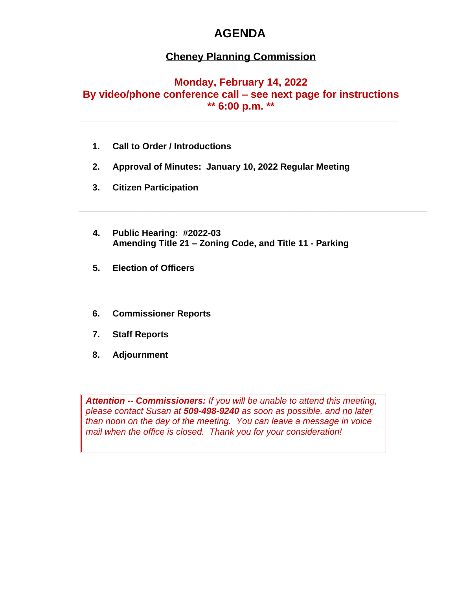## **AGENDA**

### **Cheney Planning Commission**

## **Monday, February 14, 2022**

# **By video/phone conference call – see next page for instructions**

**\*\* 6:00 p.m. \*\* \_\_\_\_\_\_\_\_\_\_\_\_\_\_\_\_\_\_\_\_\_\_\_\_\_\_\_\_\_\_\_\_\_\_\_\_\_\_\_\_\_\_\_\_\_\_\_\_\_\_\_\_\_\_\_\_\_\_\_\_\_\_\_\_**

**\_\_\_\_\_\_\_\_\_\_\_\_\_\_\_\_\_\_\_\_\_\_\_\_\_\_\_\_\_\_\_\_\_\_\_\_\_\_\_\_\_\_\_\_\_\_\_\_\_\_\_\_\_\_\_\_\_\_\_\_\_\_\_\_\_\_\_\_\_\_**

**\_\_\_\_\_\_\_\_\_\_\_\_\_\_\_\_\_\_\_\_\_\_\_\_\_\_\_\_\_\_\_\_\_\_\_\_\_\_\_\_\_\_\_\_\_\_\_\_\_\_\_\_\_\_\_\_\_\_\_\_\_\_\_\_\_\_\_\_\_**

- **1. Call to Order / Introductions**
- **2. Approval of Minutes: January 10, 2022 Regular Meeting**
- **3. Citizen Participation**
- **4. Public Hearing: #2022-03 Amending Title 21 – Zoning Code, and Title 11 - Parking**
- **5. Election of Officers**
- **6. Commissioner Reports**
- **7. Staff Reports**
- **8. Adjournment**

*Attention -- Commissioners: If you will be unable to attend this meeting, please contact Susan at 509-498-9240 as soon as possible, and no later than noon on the day of the meeting. You can leave a message in voice mail when the office is closed. Thank you for your consideration!*